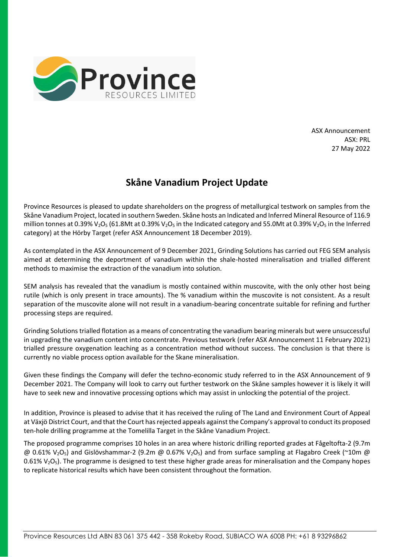

ASX Announcement ASX: PRL 27 May 2022

## **Skåne Vanadium Project Update**

Province Resources is pleased to update shareholders on the progress of metallurgical testwork on samples from the Skåne Vanadium Project, located in southern Sweden. Skåne hosts an Indicated and Inferred Mineral Resource of 116.9 million tonnes at 0.39% V<sub>2</sub>O<sub>5</sub> (61.8Mt at 0.39% V<sub>2</sub>O<sub>5</sub> in the Indicated category and 55.0Mt at 0.39% V<sub>2</sub>O<sub>5</sub> in the Inferred category) at the Hörby Target (refer ASX Announcement 18 December 2019).

As contemplated in the ASX Announcement of 9 December 2021, Grinding Solutions has carried out FEG SEM analysis aimed at determining the deportment of vanadium within the shale-hosted mineralisation and trialled different methods to maximise the extraction of the vanadium into solution.

SEM analysis has revealed that the vanadium is mostly contained within muscovite, with the only other host being rutile (which is only present in trace amounts). The % vanadium within the muscovite is not consistent. As a result separation of the muscovite alone will not result in a vanadium-bearing concentrate suitable for refining and further processing steps are required.

Grinding Solutions trialled flotation as a means of concentrating the vanadium bearing minerals but were unsuccessful in upgrading the vanadium content into concentrate. Previous testwork (refer ASX Announcement 11 February 2021) trialled pressure oxygenation leaching as a concentration method without success. The conclusion is that there is currently no viable process option available for the Skane mineralisation.

Given these findings the Company will defer the techno-economic study referred to in the ASX Announcement of 9 December 2021. The Company will look to carry out further testwork on the Skåne samples however it is likely it will have to seek new and innovative processing options which may assist in unlocking the potential of the project.

In addition, Province is pleased to advise that it has received the ruling of The Land and Environment Court of Appeal at Växjö District Court, and that the Court has rejected appeals against the Company's approval to conduct its proposed ten-hole drilling programme at the Tomelilla Target in the Skåne Vanadium Project.

The proposed programme comprises 10 holes in an area where historic drilling reported grades at Fågeltofta-2 (9.7m  $\omega$  0.61% V<sub>2</sub>O<sub>5</sub>) and Gislövshammar-2 (9.2m  $\omega$  0.67% V<sub>2</sub>O<sub>5</sub>) and from surface sampling at Flagabro Creek (~10m  $\omega$ 0.61%  $V_2O_5$ ). The programme is designed to test these higher grade areas for mineralisation and the Company hopes to replicate historical results which have been consistent throughout the formation.